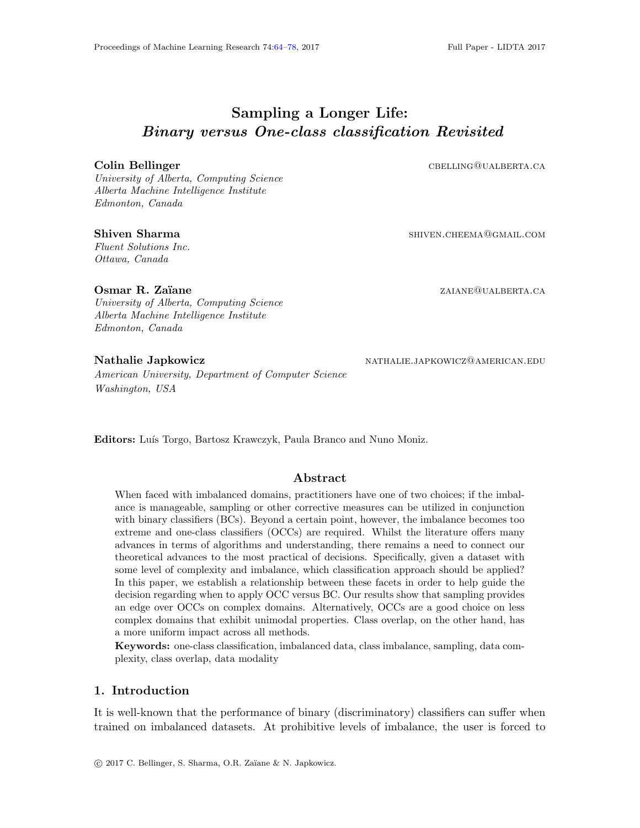# <span id="page-0-0"></span>Sampling a Longer Life: Binary versus One-class classification Revisited

University of Alberta, Computing Science Alberta Machine Intelligence Institute Edmonton, Canada

Fluent Solutions Inc. Ottawa, Canada

**Colin Bellinger cbelling cbelling cbelling CBELLING QUALBERTA.CA** 

Shiven Sharma shiven Sharma shiven.cheema@gmail.com

**Osmar R. Zaïane** *zaiane zaiane zaiane zaiane zaiane zaiane zaiane zaiane zaiane zaiane zaiane zaiane zaiane zaiane zaiane zaiane zaiane zaiane zaiane zaiane zaiane zaiane zaian* University of Alberta, Computing Science Alberta Machine Intelligence Institute Edmonton, Canada

American University, Department of Computer Science Washington, USA

Nathalie Japkowicz NATHALIE.JAPKOWICZ@AMERICAN.EDU

Editors: Luís Torgo, Bartosz Krawczyk, Paula Branco and Nuno Moniz.

## Abstract

When faced with imbalanced domains, practitioners have one of two choices; if the imbalance is manageable, sampling or other corrective measures can be utilized in conjunction with binary classifiers (BCs). Beyond a certain point, however, the imbalance becomes too extreme and one-class classifiers (OCCs) are required. Whilst the literature offers many advances in terms of algorithms and understanding, there remains a need to connect our theoretical advances to the most practical of decisions. Specifically, given a dataset with some level of complexity and imbalance, which classification approach should be applied? In this paper, we establish a relationship between these facets in order to help guide the decision regarding when to apply OCC versus BC. Our results show that sampling provides an edge over OCCs on complex domains. Alternatively, OCCs are a good choice on less complex domains that exhibit unimodal properties. Class overlap, on the other hand, has a more uniform impact across all methods.

Keywords: one-class classification, imbalanced data, class imbalance, sampling, data complexity, class overlap, data modality

## 1. Introduction

It is well-known that the performance of binary (discriminatory) classifiers can suffer when trained on imbalanced datasets. At prohibitive levels of imbalance, the user is forced to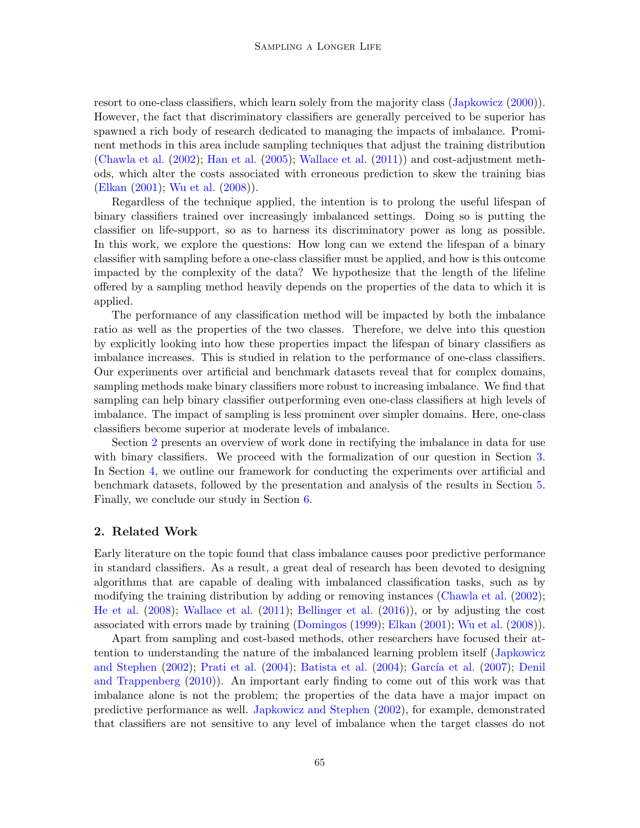resort to one-class classifiers, which learn solely from the majority class [\(Japkowicz](#page-14-1) [\(2000\)](#page-14-1)). However, the fact that discriminatory classifiers are generally perceived to be superior has spawned a rich body of research dedicated to managing the impacts of imbalance. Prominent methods in this area include sampling techniques that adjust the training distribution [\(Chawla et al.](#page-13-0) [\(2002\)](#page-13-0); [Han et al.](#page-13-1) [\(2005\)](#page-13-1); [Wallace et al.](#page-14-2) [\(2011\)](#page-14-2)) and cost-adjustment methods, which alter the costs associated with erroneous prediction to skew the training bias [\(Elkan](#page-13-2) [\(2001\)](#page-13-2); [Wu et al.](#page-14-3) [\(2008\)](#page-14-3)).

Regardless of the technique applied, the intention is to prolong the useful lifespan of binary classifiers trained over increasingly imbalanced settings. Doing so is putting the classifier on life-support, so as to harness its discriminatory power as long as possible. In this work, we explore the questions: How long can we extend the lifespan of a binary classifier with sampling before a one-class classifier must be applied, and how is this outcome impacted by the complexity of the data? We hypothesize that the length of the lifeline offered by a sampling method heavily depends on the properties of the data to which it is applied.

The performance of any classification method will be impacted by both the imbalance ratio as well as the properties of the two classes. Therefore, we delve into this question by explicitly looking into how these properties impact the lifespan of binary classifiers as imbalance increases. This is studied in relation to the performance of one-class classifiers. Our experiments over artificial and benchmark datasets reveal that for complex domains, sampling methods make binary classifiers more robust to increasing imbalance. We find that sampling can help binary classifier outperforming even one-class classifiers at high levels of imbalance. The impact of sampling is less prominent over simpler domains. Here, one-class classifiers become superior at moderate levels of imbalance.

Section [2](#page-1-0) presents an overview of work done in rectifying the imbalance in data for use with binary classifiers. We proceed with the formalization of our question in Section [3.](#page-2-0) In Section [4,](#page-4-0) we outline our framework for conducting the experiments over artificial and benchmark datasets, followed by the presentation and analysis of the results in Section [5.](#page-7-0) Finally, we conclude our study in Section [6.](#page-12-0)

#### <span id="page-1-0"></span>2. Related Work

Early literature on the topic found that class imbalance causes poor predictive performance in standard classifiers. As a result, a great deal of research has been devoted to designing algorithms that are capable of dealing with imbalanced classification tasks, such as by modifying the training distribution by adding or removing instances [\(Chawla et al.](#page-13-0) [\(2002\)](#page-13-0); [He et al.](#page-13-3) [\(2008\)](#page-13-3); [Wallace et al.](#page-14-2) [\(2011\)](#page-14-2); [Bellinger et al.](#page-13-4) [\(2016\)](#page-13-4)), or by adjusting the cost associated with errors made by training [\(Domingos](#page-13-5) [\(1999\)](#page-13-5); [Elkan](#page-13-2) [\(2001\)](#page-13-2); [Wu et al.](#page-14-3) [\(2008\)](#page-14-3)).

Apart from sampling and cost-based methods, other researchers have focused their attention to understanding the nature of the imbalanced learning problem itself [\(Japkowicz](#page-14-4) [and Stephen](#page-14-4) [\(2002\)](#page-14-4); [Prati et al.](#page-14-5) [\(2004\)](#page-13-6); [Batista et al.](#page-13-6) (2004); García et al. [\(2007\)](#page-13-7); [Denil](#page-13-8) [and Trappenberg](#page-13-8) [\(2010\)](#page-13-8)). An important early finding to come out of this work was that imbalance alone is not the problem; the properties of the data have a major impact on predictive performance as well. [Japkowicz and Stephen](#page-14-4) [\(2002\)](#page-14-4), for example, demonstrated that classifiers are not sensitive to any level of imbalance when the target classes do not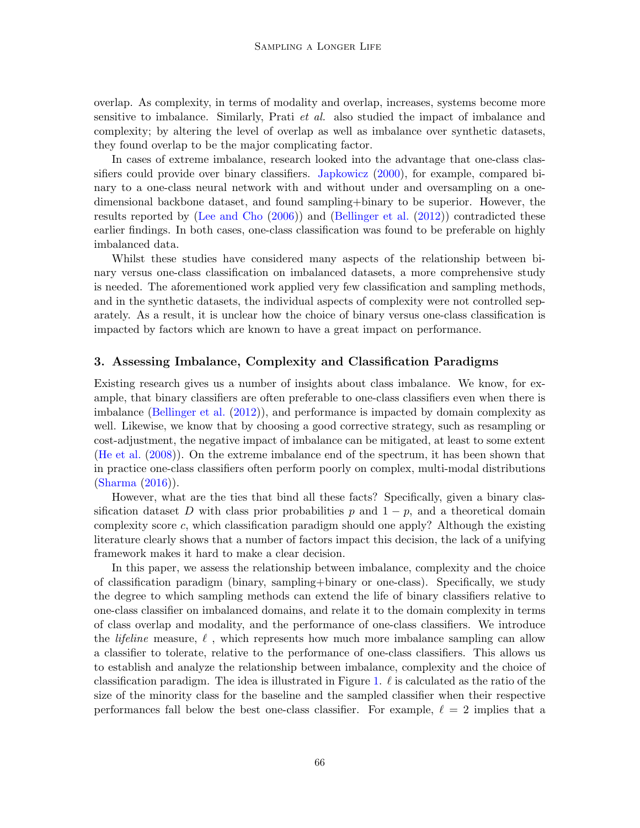overlap. As complexity, in terms of modality and overlap, increases, systems become more sensitive to imbalance. Similarly, Prati et al. also studied the impact of imbalance and complexity; by altering the level of overlap as well as imbalance over synthetic datasets, they found overlap to be the major complicating factor.

In cases of extreme imbalance, research looked into the advantage that one-class classifiers could provide over binary classifiers. [Japkowicz](#page-14-1) [\(2000\)](#page-14-1), for example, compared binary to a one-class neural network with and without under and oversampling on a onedimensional backbone dataset, and found sampling+binary to be superior. However, the results reported by [\(Lee and Cho](#page-14-6) [\(2006\)](#page-14-6)) and [\(Bellinger et al.](#page-13-9) [\(2012\)](#page-13-9)) contradicted these earlier findings. In both cases, one-class classification was found to be preferable on highly imbalanced data.

Whilst these studies have considered many aspects of the relationship between binary versus one-class classification on imbalanced datasets, a more comprehensive study is needed. The aforementioned work applied very few classification and sampling methods, and in the synthetic datasets, the individual aspects of complexity were not controlled separately. As a result, it is unclear how the choice of binary versus one-class classification is impacted by factors which are known to have a great impact on performance.

### <span id="page-2-0"></span>3. Assessing Imbalance, Complexity and Classification Paradigms

Existing research gives us a number of insights about class imbalance. We know, for example, that binary classifiers are often preferable to one-class classifiers even when there is imbalance [\(Bellinger et al.](#page-13-9) [\(2012\)](#page-13-9)), and performance is impacted by domain complexity as well. Likewise, we know that by choosing a good corrective strategy, such as resampling or cost-adjustment, the negative impact of imbalance can be mitigated, at least to some extent [\(He et al.](#page-13-3) [\(2008\)](#page-13-3)). On the extreme imbalance end of the spectrum, it has been shown that in practice one-class classifiers often perform poorly on complex, multi-modal distributions [\(Sharma](#page-14-7) [\(2016\)](#page-14-7)).

However, what are the ties that bind all these facts? Specifically, given a binary classification dataset D with class prior probabilities p and  $1 - p$ , and a theoretical domain complexity score c, which classification paradigm should one apply? Although the existing literature clearly shows that a number of factors impact this decision, the lack of a unifying framework makes it hard to make a clear decision.

In this paper, we assess the relationship between imbalance, complexity and the choice of classification paradigm (binary, sampling+binary or one-class). Specifically, we study the degree to which sampling methods can extend the life of binary classifiers relative to one-class classifier on imbalanced domains, and relate it to the domain complexity in terms of class overlap and modality, and the performance of one-class classifiers. We introduce the *lifeline* measure,  $\ell$ , which represents how much more imbalance sampling can allow a classifier to tolerate, relative to the performance of one-class classifiers. This allows us to establish and analyze the relationship between imbalance, complexity and the choice of classification paradigm. The idea is illustrated in Figure [1.](#page-3-0)  $\ell$  is calculated as the ratio of the size of the minority class for the baseline and the sampled classifier when their respective performances fall below the best one-class classifier. For example,  $\ell = 2$  implies that a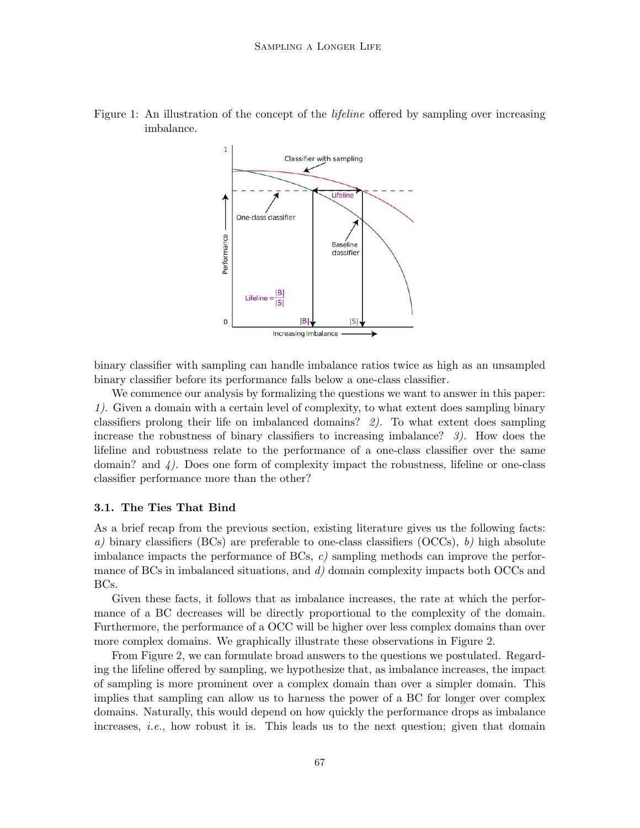

<span id="page-3-0"></span>Figure 1: An illustration of the concept of the *lifeline* offered by sampling over increasing imbalance.

binary classifier with sampling can handle imbalance ratios twice as high as an unsampled binary classifier before its performance falls below a one-class classifier.

We commence our analysis by formalizing the questions we want to answer in this paper: 1). Given a domain with a certain level of complexity, to what extent does sampling binary classifiers prolong their life on imbalanced domains? 2). To what extent does sampling increase the robustness of binary classifiers to increasing imbalance? 3). How does the lifeline and robustness relate to the performance of a one-class classifier over the same domain? and  $\downarrow$ ). Does one form of complexity impact the robustness, lifeline or one-class classifier performance more than the other?

#### 3.1. The Ties That Bind

As a brief recap from the previous section, existing literature gives us the following facts: a) binary classifiers (BCs) are preferable to one-class classifiers (OCCs), b) high absolute imbalance impacts the performance of  $BCs$ , c) sampling methods can improve the performance of BCs in imbalanced situations, and  $d$ ) domain complexity impacts both OCCs and BCs.

Given these facts, it follows that as imbalance increases, the rate at which the performance of a BC decreases will be directly proportional to the complexity of the domain. Furthermore, the performance of a OCC will be higher over less complex domains than over more complex domains. We graphically illustrate these observations in Figure [2.](#page-4-1)

From Figure [2,](#page-4-1) we can formulate broad answers to the questions we postulated. Regarding the lifeline offered by sampling, we hypothesize that, as imbalance increases, the impact of sampling is more prominent over a complex domain than over a simpler domain. This implies that sampling can allow us to harness the power of a BC for longer over complex domains. Naturally, this would depend on how quickly the performance drops as imbalance increases, *i.e.*, how robust it is. This leads us to the next question; given that domain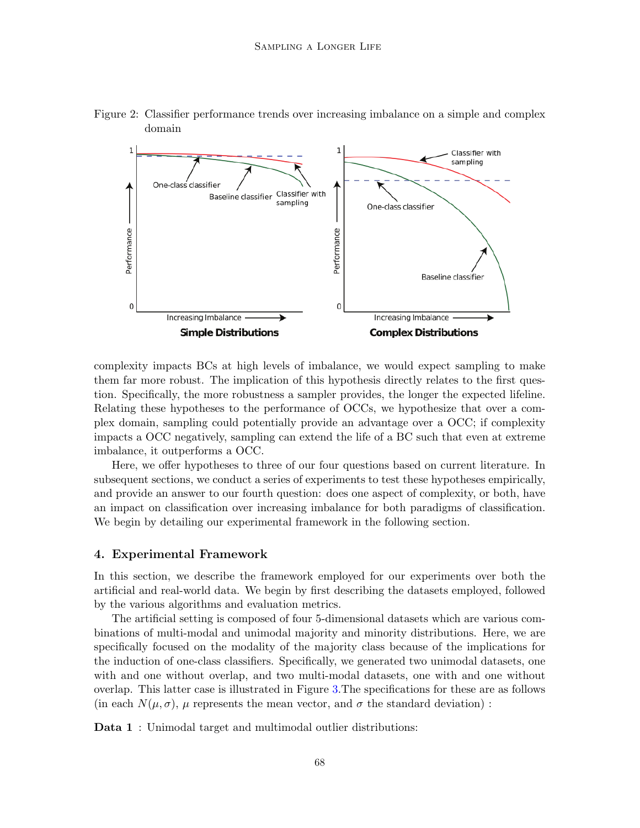

<span id="page-4-1"></span>Figure 2: Classifier performance trends over increasing imbalance on a simple and complex domain

complexity impacts BCs at high levels of imbalance, we would expect sampling to make them far more robust. The implication of this hypothesis directly relates to the first question. Specifically, the more robustness a sampler provides, the longer the expected lifeline. Relating these hypotheses to the performance of OCCs, we hypothesize that over a complex domain, sampling could potentially provide an advantage over a OCC; if complexity impacts a OCC negatively, sampling can extend the life of a BC such that even at extreme imbalance, it outperforms a OCC.

Here, we offer hypotheses to three of our four questions based on current literature. In subsequent sections, we conduct a series of experiments to test these hypotheses empirically, and provide an answer to our fourth question: does one aspect of complexity, or both, have an impact on classification over increasing imbalance for both paradigms of classification. We begin by detailing our experimental framework in the following section.

#### <span id="page-4-0"></span>4. Experimental Framework

In this section, we describe the framework employed for our experiments over both the artificial and real-world data. We begin by first describing the datasets employed, followed by the various algorithms and evaluation metrics.

The artificial setting is composed of four 5-dimensional datasets which are various combinations of multi-modal and unimodal majority and minority distributions. Here, we are specifically focused on the modality of the majority class because of the implications for the induction of one-class classifiers. Specifically, we generated two unimodal datasets, one with and one without overlap, and two multi-modal datasets, one with and one without overlap. This latter case is illustrated in Figure [3.](#page-5-0)The specifications for these are as follows (in each  $N(\mu, \sigma)$ ,  $\mu$  represents the mean vector, and  $\sigma$  the standard deviation):

Data 1: Unimodal target and multimodal outlier distributions: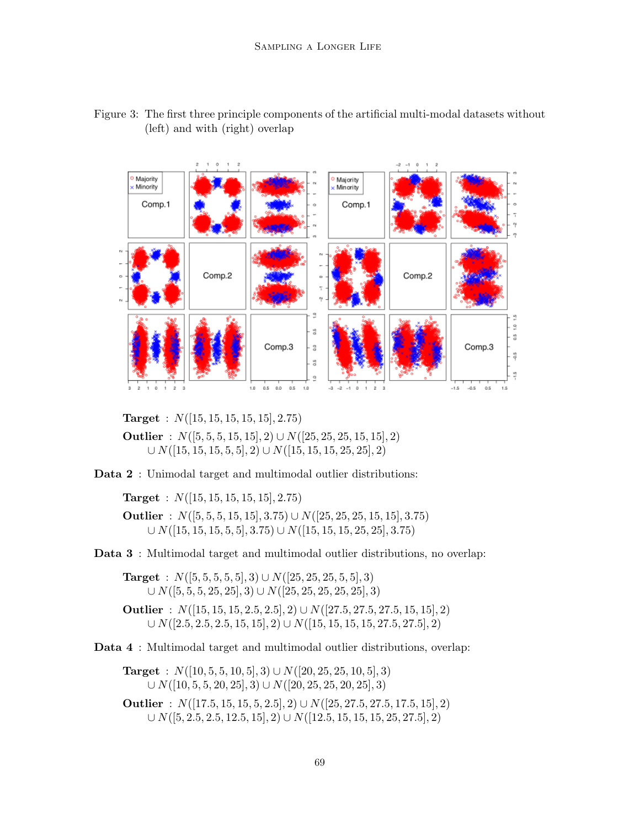

<span id="page-5-0"></span>Figure 3: The first three principle components of the artificial multi-modal datasets without (left) and with (right) overlap

**Target** :  $N([15, 15, 15, 15, 15], 2.75)$ 

Outlier :  $N([5, 5, 5, 15, 15], 2) \cup N([25, 25, 25, 15, 15], 2)$  $\cup N([15, 15, 15, 5, 5], 2) \cup N([15, 15, 15, 25, 25], 2)$ 

Data 2 : Unimodal target and multimodal outlier distributions:

**Target** :  $N([15, 15, 15, 15, 15], 2.75)$ 

Outlier :  $N([5, 5, 5, 15, 15], 3.75) \cup N([25, 25, 25, 15, 15], 3.75)$  $\cup N([15, 15, 15, 5, 5], 3.75) \cup N([15, 15, 15, 25, 25], 3.75)$ 

Data 3 : Multimodal target and multimodal outlier distributions, no overlap:

Target :  $N([5, 5, 5, 5, 5], 3) \cup N([25, 25, 25, 5, 5], 3)$  $\cup N([5, 5, 5, 25, 25], 3) \cup N([25, 25, 25, 25, 25], 3)$ Outlier :  $N([15, 15, 15, 2.5, 2.5], 2) \cup N([27.5, 27.5, 27.5, 15, 15], 2)$ 

 $\cup N([2.5, 2.5, 2.5, 15, 15], 2) \cup N([15, 15, 15, 15, 27.5, 27.5], 2)$ 

Data 4 : Multimodal target and multimodal outlier distributions, overlap:

Target :  $N([10, 5, 5, 10, 5], 3) \cup N([20, 25, 25, 10, 5], 3)$  $\cup N([10, 5, 5, 20, 25], 3) \cup N([20, 25, 25, 20, 25], 3)$ Outlier :  $N([17.5, 15, 15, 5, 2.5], 2) \cup N([25, 27.5, 27.5, 17.5, 15], 2)$  $\cup N([5, 2.5, 2.5, 12.5, 15], 2) \cup N([12.5, 15, 15, 15, 25, 27.5], 2)$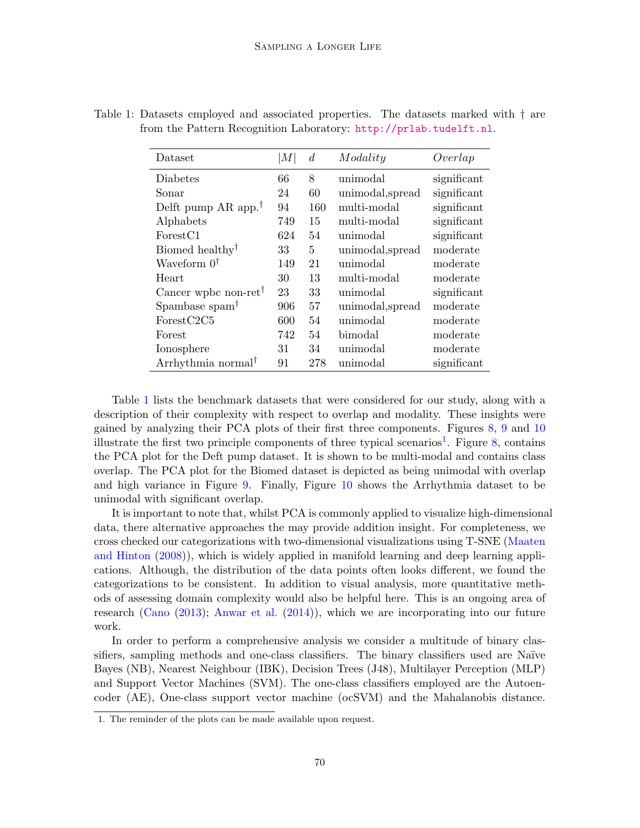| Dataset                                            | M   | $\overline{d}$ | Modality        | Overlap     |
|----------------------------------------------------|-----|----------------|-----------------|-------------|
| Diabetes                                           | 66  | 8              | unimodal        | significant |
| Sonar                                              | 24  | 60             | unimodal,spread | significant |
| Delft pump AR app. <sup>†</sup>                    | 94  | 160            | multi-modal     | significant |
| Alphabets                                          | 749 | 15             | multi-modal     | significant |
| Forest <sub>C1</sub>                               | 624 | 54             | unimodal        | significant |
| Biomed healthy <sup>†</sup>                        | 33  | 5              | unimodal,spread | moderate    |
| Waveform $0^{\dagger}$                             | 149 | 21             | unimodal        | moderate    |
| Heart                                              | 30  | 13             | multi-modal     | moderate    |
| Cancer wpbc non-ret <sup>†</sup>                   | 23  | 33             | unimodal        | significant |
| Spambase spam <sup>†</sup>                         | 906 | 57             | unimodal,spread | moderate    |
| ForestC2C5                                         | 600 | 54             | unimodal        | moderate    |
| Forest                                             | 742 | 54             | bimodal         | moderate    |
| Ionosphere                                         | 31  | 34             | unimodal        | moderate    |
| Arrhythmia normal <sup><math>\uparrow</math></sup> | 91  | 278            | unimodal        | significant |

<span id="page-6-0"></span>Table 1: Datasets employed and associated properties. The datasets marked with † are from the Pattern Recognition Laboratory: <http://prlab.tudelft.nl>.

Table [1](#page-6-0) lists the benchmark datasets that were considered for our study, along with a description of their complexity with respect to overlap and modality. These insights were gained by analyzing their PCA plots of their first three components. Figures [8,](#page-11-0) [9](#page-11-1) and [10](#page-12-1) illustrate the first two principle components of three typical scenarios<sup>[1](#page-6-1)</sup>. Figure [8,](#page-11-0) contains the PCA plot for the Deft pump dataset. It is shown to be multi-modal and contains class overlap. The PCA plot for the Biomed dataset is depicted as being unimodal with overlap and high variance in Figure [9.](#page-11-1) Finally, Figure [10](#page-12-1) shows the Arrhythmia dataset to be unimodal with significant overlap.

It is important to note that, whilst PCA is commonly applied to visualize high-dimensional data, there alternative approaches the may provide addition insight. For completeness, we cross checked our categorizations with two-dimensional visualizations using T-SNE [\(Maaten](#page-14-8) [and Hinton](#page-14-8) [\(2008\)](#page-14-8)), which is widely applied in manifold learning and deep learning applications. Although, the distribution of the data points often looks different, we found the categorizations to be consistent. In addition to visual analysis, more quantitative methods of assessing domain complexity would also be helpful here. This is an ongoing area of research [\(Cano](#page-13-10) [\(2013\)](#page-13-10); [Anwar et al.](#page-13-11) [\(2014\)](#page-13-11)), which we are incorporating into our future work.

In order to perform a comprehensive analysis we consider a multitude of binary classifiers, sampling methods and one-class classifiers. The binary classifiers used are Naïve Bayes (NB), Nearest Neighbour (IBK), Decision Trees (J48), Multilayer Perception (MLP) and Support Vector Machines (SVM). The one-class classifiers employed are the Autoencoder (AE), One-class support vector machine (ocSVM) and the Mahalanobis distance.

<span id="page-6-1"></span><sup>1.</sup> The reminder of the plots can be made available upon request.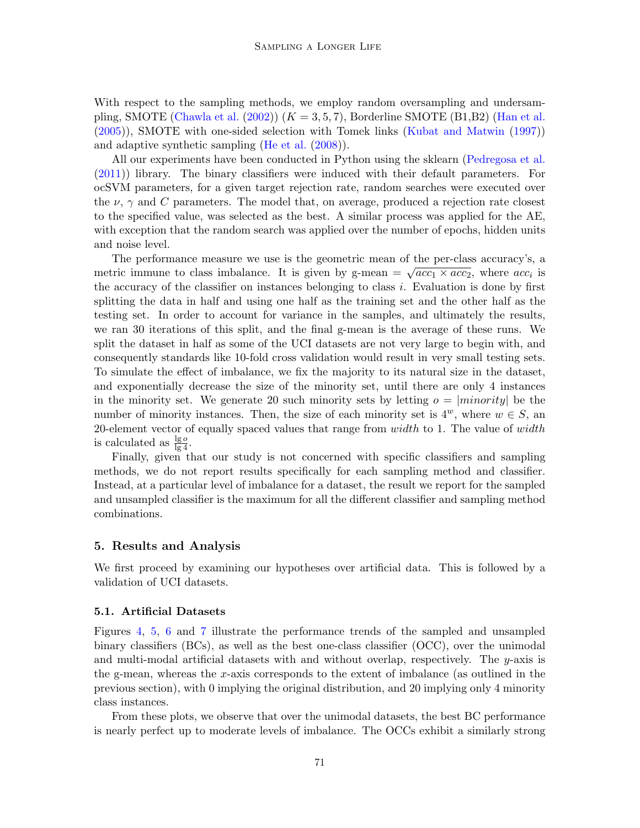With respect to the sampling methods, we employ random oversampling and undersam-pling, SMOTE [\(Chawla et al.](#page-13-0)  $(2002)$ )  $(K = 3, 5, 7)$ , Borderline SMOTE (B1,B2) [\(Han et al.](#page-13-1) [\(2005\)](#page-13-1)), SMOTE with one-sided selection with Tomek links [\(Kubat and Matwin](#page-14-9) [\(1997\)](#page-14-9)) and adaptive synthetic sampling [\(He et al.](#page-13-3) [\(2008\)](#page-13-3)).

All our experiments have been conducted in Python using the sklearn [\(Pedregosa et al.](#page-14-10) [\(2011\)](#page-14-10)) library. The binary classifiers were induced with their default parameters. For ocSVM parameters, for a given target rejection rate, random searches were executed over the  $\nu$ ,  $\gamma$  and C parameters. The model that, on average, produced a rejection rate closest to the specified value, was selected as the best. A similar process was applied for the AE, with exception that the random search was applied over the number of epochs, hidden units and noise level.

The performance measure we use is the geometric mean of the per-class accuracy's, a The performance measure we use is the geometric mean of the per-class accuracy s, a<br>metric immune to class imbalance. It is given by g-mean  $= \sqrt{acc_1 \times acc_2}$ , where  $acc_i$  is the accuracy of the classifier on instances belonging to class  $i$ . Evaluation is done by first splitting the data in half and using one half as the training set and the other half as the testing set. In order to account for variance in the samples, and ultimately the results, we ran 30 iterations of this split, and the final g-mean is the average of these runs. We split the dataset in half as some of the UCI datasets are not very large to begin with, and consequently standards like 10-fold cross validation would result in very small testing sets. To simulate the effect of imbalance, we fix the majority to its natural size in the dataset, and exponentially decrease the size of the minority set, until there are only 4 instances in the minority set. We generate 20 such minority sets by letting  $o = |minority|$  be the number of minority instances. Then, the size of each minority set is  $4^w$ , where  $w \in S$ , an 20-element vector of equally spaced values that range from  $width$  to 1. The value of  $width$ is calculated as  $\frac{\lg o}{\lg 4}$ .

Finally, given that our study is not concerned with specific classifiers and sampling methods, we do not report results specifically for each sampling method and classifier. Instead, at a particular level of imbalance for a dataset, the result we report for the sampled and unsampled classifier is the maximum for all the different classifier and sampling method combinations.

#### <span id="page-7-0"></span>5. Results and Analysis

We first proceed by examining our hypotheses over artificial data. This is followed by a validation of UCI datasets.

#### 5.1. Artificial Datasets

Figures [4,](#page-8-0) [5,](#page-8-1) [6](#page-8-2) and [7](#page-9-0) illustrate the performance trends of the sampled and unsampled binary classifiers (BCs), as well as the best one-class classifier (OCC), over the unimodal and multi-modal artificial datasets with and without overlap, respectively. The y-axis is the g-mean, whereas the x-axis corresponds to the extent of imbalance (as outlined in the previous section), with 0 implying the original distribution, and 20 implying only 4 minority class instances.

From these plots, we observe that over the unimodal datasets, the best BC performance is nearly perfect up to moderate levels of imbalance. The OCCs exhibit a similarly strong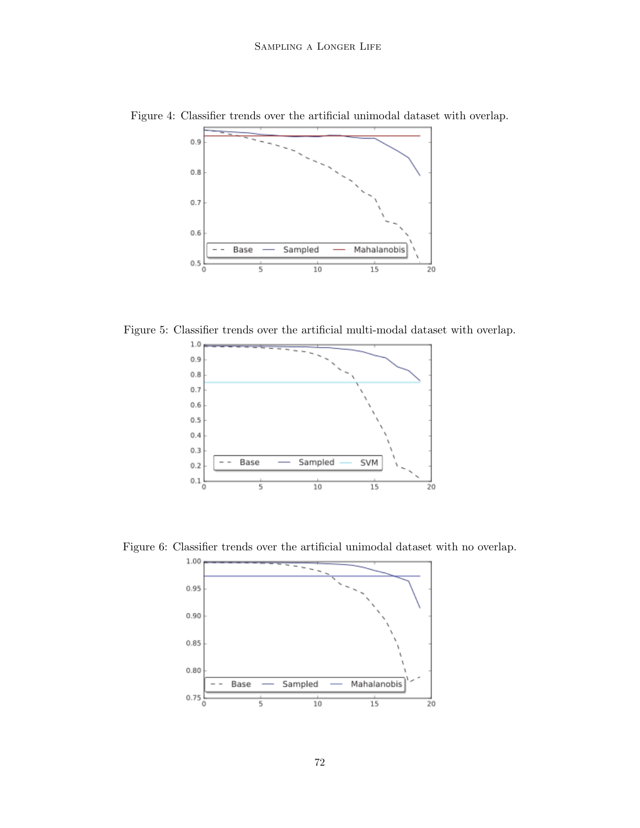<span id="page-8-0"></span>

Figure 4: Classifier trends over the artificial unimodal dataset with overlap.

Figure 5: Classifier trends over the artificial multi-modal dataset with overlap.

<span id="page-8-1"></span>

Figure 6: Classifier trends over the artificial unimodal dataset with no overlap.

<span id="page-8-2"></span>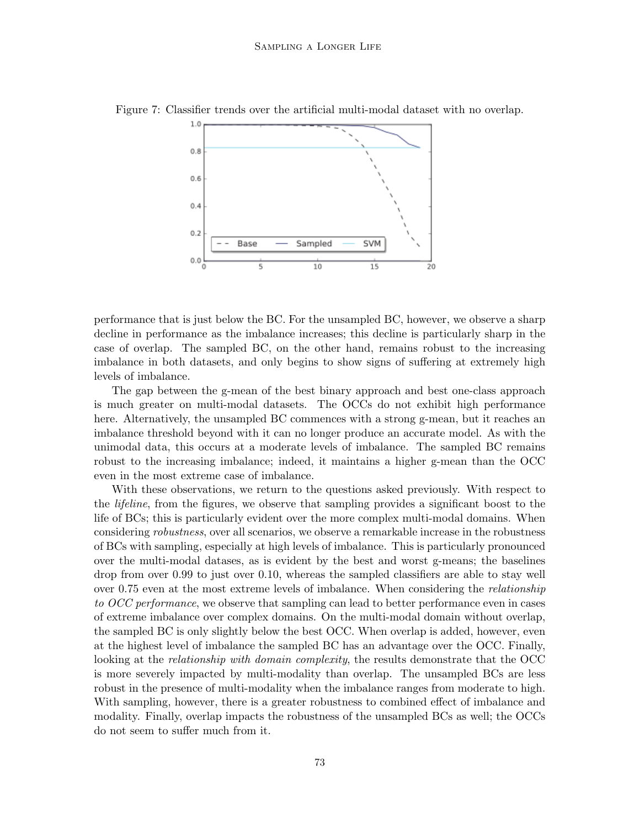<span id="page-9-0"></span>

Figure 7: Classifier trends over the artificial multi-modal dataset with no overlap.

performance that is just below the BC. For the unsampled BC, however, we observe a sharp decline in performance as the imbalance increases; this decline is particularly sharp in the case of overlap. The sampled BC, on the other hand, remains robust to the increasing imbalance in both datasets, and only begins to show signs of suffering at extremely high levels of imbalance.

The gap between the g-mean of the best binary approach and best one-class approach is much greater on multi-modal datasets. The OCCs do not exhibit high performance here. Alternatively, the unsampled BC commences with a strong g-mean, but it reaches an imbalance threshold beyond with it can no longer produce an accurate model. As with the unimodal data, this occurs at a moderate levels of imbalance. The sampled BC remains robust to the increasing imbalance; indeed, it maintains a higher g-mean than the OCC even in the most extreme case of imbalance.

With these observations, we return to the questions asked previously. With respect to the lifeline, from the figures, we observe that sampling provides a significant boost to the life of BCs; this is particularly evident over the more complex multi-modal domains. When considering robustness, over all scenarios, we observe a remarkable increase in the robustness of BCs with sampling, especially at high levels of imbalance. This is particularly pronounced over the multi-modal datases, as is evident by the best and worst g-means; the baselines drop from over 0.99 to just over 0.10, whereas the sampled classifiers are able to stay well over 0.75 even at the most extreme levels of imbalance. When considering the relationship to OCC performance, we observe that sampling can lead to better performance even in cases of extreme imbalance over complex domains. On the multi-modal domain without overlap, the sampled BC is only slightly below the best OCC. When overlap is added, however, even at the highest level of imbalance the sampled BC has an advantage over the OCC. Finally, looking at the *relationship with domain complexity*, the results demonstrate that the OCC is more severely impacted by multi-modality than overlap. The unsampled BCs are less robust in the presence of multi-modality when the imbalance ranges from moderate to high. With sampling, however, there is a greater robustness to combined effect of imbalance and modality. Finally, overlap impacts the robustness of the unsampled BCs as well; the OCCs do not seem to suffer much from it.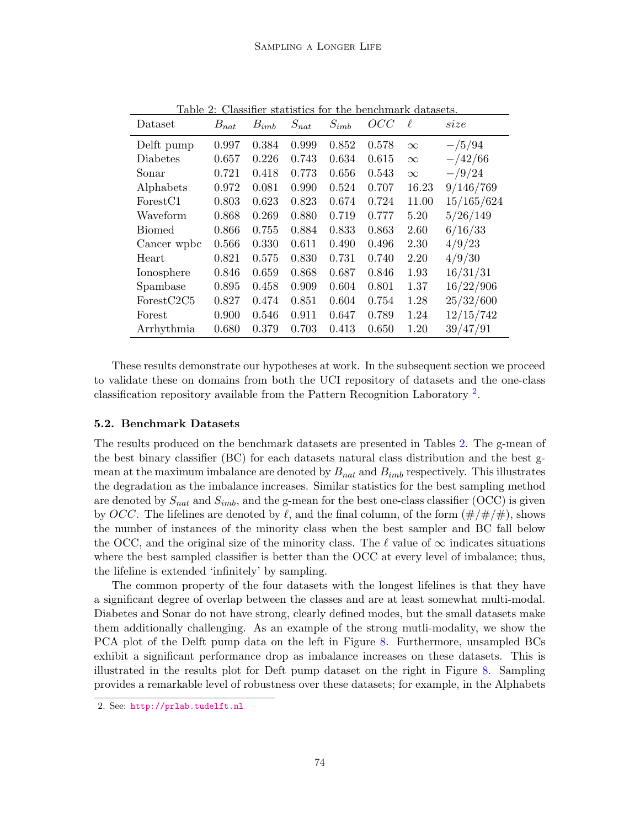| Dataset              | $B_{nat}$ | $B_{imb}$ | $S_{nat}$ | $S_{imb}$ | OCC   | ł.       | size            |
|----------------------|-----------|-----------|-----------|-----------|-------|----------|-----------------|
| Delft pump           | 0.997     | 0.384     | 0.999     | 0.852     | 0.578 | $\infty$ | $-\frac{5}{94}$ |
| <b>Diabetes</b>      | 0.657     | 0.226     | 0.743     | 0.634     | 0.615 | $\infty$ | $-/42/66$       |
| Sonar                | 0.721     | 0.418     | 0.773     | 0.656     | 0.543 | $\infty$ | $-\frac{9}{24}$ |
| Alphabets            | 0.972     | 0.081     | 0.990     | 0.524     | 0.707 | 16.23    | 9/146/769       |
| Forest <sub>C1</sub> | 0.803     | 0.623     | 0.823     | 0.674     | 0.724 | 11.00    | 15/165/624      |
| Waveform             | 0.868     | 0.269     | 0.880     | 0.719     | 0.777 | 5.20     | 5/26/149        |
| <b>Biomed</b>        | 0.866     | 0.755     | 0.884     | 0.833     | 0.863 | 2.60     | 6/16/33         |
| Cancer wpbc          | 0.566     | 0.330     | 0.611     | 0.490     | 0.496 | 2.30     | 4/9/23          |
| Heart                | 0.821     | 0.575     | 0.830     | 0.731     | 0.740 | 2.20     | 4/9/30          |
| Ionosphere           | 0.846     | 0.659     | 0.868     | 0.687     | 0.846 | 1.93     | 16/31/31        |
| Spambase             | 0.895     | 0.458     | 0.909     | 0.604     | 0.801 | 1.37     | 16/22/906       |
| ForestC2C5           | 0.827     | 0.474     | 0.851     | 0.604     | 0.754 | 1.28     | 25/32/600       |
| Forest               | 0.900     | 0.546     | 0.911     | 0.647     | 0.789 | 1.24     | 12/15/742       |
| Arrhythmia           | 0.680     | 0.379     | 0.703     | 0.413     | 0.650 | 1.20     | 39/47/91        |

<span id="page-10-1"></span>Table 2: Classifier statistics for the benchmark datasets.

These results demonstrate our hypotheses at work. In the subsequent section we proceed to validate these on domains from both the UCI repository of datasets and the one-class classification repository available from the Pattern Recognition Laboratory [2](#page-10-0) .

#### 5.2. Benchmark Datasets

The results produced on the benchmark datasets are presented in Tables [2.](#page-10-1) The g-mean of the best binary classifier (BC) for each datasets natural class distribution and the best gmean at the maximum imbalance are denoted by  $B_{nat}$  and  $B_{imb}$  respectively. This illustrates the degradation as the imbalance increases. Similar statistics for the best sampling method are denoted by  $S_{nat}$  and  $S_{imb}$ , and the g-mean for the best one-class classifier (OCC) is given by OCC. The lifelines are denoted by  $\ell$ , and the final column, of the form  $(\#/\#/\#)$ , shows the number of instances of the minority class when the best sampler and BC fall below the OCC, and the original size of the minority class. The  $\ell$  value of  $\infty$  indicates situations where the best sampled classifier is better than the OCC at every level of imbalance; thus, the lifeline is extended 'infinitely' by sampling.

The common property of the four datasets with the longest lifelines is that they have a significant degree of overlap between the classes and are at least somewhat multi-modal. Diabetes and Sonar do not have strong, clearly defined modes, but the small datasets make them additionally challenging. As an example of the strong mutli-modality, we show the PCA plot of the Delft pump data on the left in Figure [8.](#page-11-0) Furthermore, unsampled BCs exhibit a significant performance drop as imbalance increases on these datasets. This is illustrated in the results plot for Deft pump dataset on the right in Figure [8.](#page-11-0) Sampling provides a remarkable level of robustness over these datasets; for example, in the Alphabets

<span id="page-10-0"></span><sup>2.</sup> See: <http://prlab.tudelft.nl>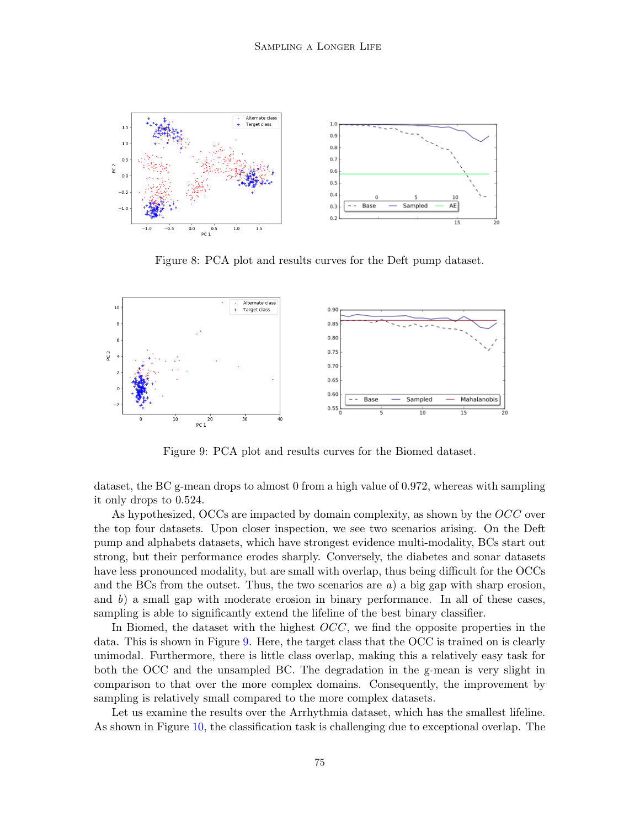

<span id="page-11-0"></span>Figure 8: PCA plot and results curves for the Deft pump dataset.



<span id="page-11-1"></span>Figure 9: PCA plot and results curves for the Biomed dataset.

dataset, the BC g-mean drops to almost 0 from a high value of 0.972, whereas with sampling it only drops to 0.524.

As hypothesized, OCCs are impacted by domain complexity, as shown by the OCC over the top four datasets. Upon closer inspection, we see two scenarios arising. On the Deft pump and alphabets datasets, which have strongest evidence multi-modality, BCs start out strong, but their performance erodes sharply. Conversely, the diabetes and sonar datasets have less pronounced modality, but are small with overlap, thus being difficult for the OCCs and the BCs from the outset. Thus, the two scenarios are  $a$ ) a big gap with sharp erosion, and  $b$ ) a small gap with moderate erosion in binary performance. In all of these cases, sampling is able to significantly extend the lifeline of the best binary classifier.

In Biomed, the dataset with the highest  $OCC$ , we find the opposite properties in the data. This is shown in Figure [9.](#page-11-1) Here, the target class that the OCC is trained on is clearly unimodal. Furthermore, there is little class overlap, making this a relatively easy task for both the OCC and the unsampled BC. The degradation in the g-mean is very slight in comparison to that over the more complex domains. Consequently, the improvement by sampling is relatively small compared to the more complex datasets.

Let us examine the results over the Arrhythmia dataset, which has the smallest lifeline. As shown in Figure [10,](#page-12-1) the classification task is challenging due to exceptional overlap. The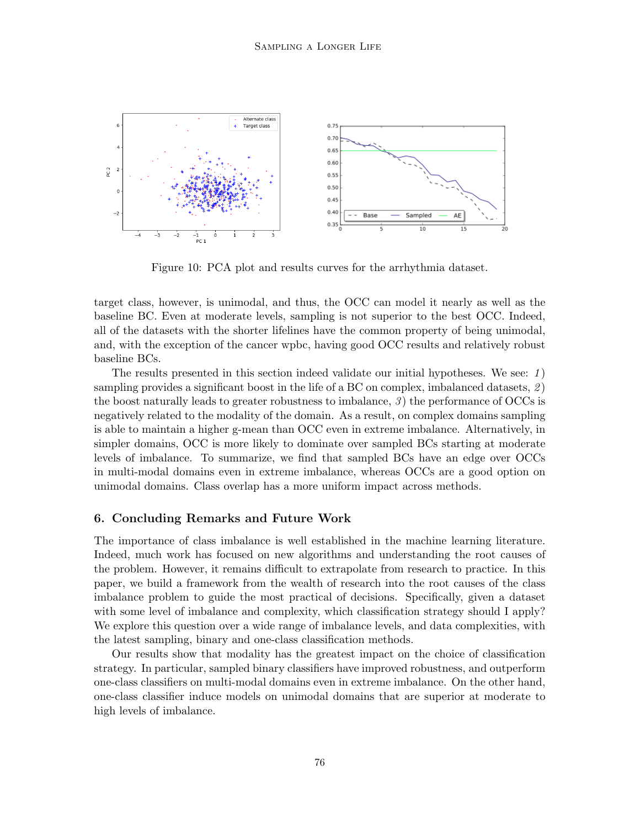

<span id="page-12-1"></span>Figure 10: PCA plot and results curves for the arrhythmia dataset.

target class, however, is unimodal, and thus, the OCC can model it nearly as well as the baseline BC. Even at moderate levels, sampling is not superior to the best OCC. Indeed, all of the datasets with the shorter lifelines have the common property of being unimodal, and, with the exception of the cancer wpbc, having good OCC results and relatively robust baseline BCs.

The results presented in this section indeed validate our initial hypotheses. We see:  $1)$ sampling provides a significant boost in the life of a BC on complex, imbalanced datasets,  $2$ ) the boost naturally leads to greater robustness to imbalance,  $\beta$ ) the performance of OCCs is negatively related to the modality of the domain. As a result, on complex domains sampling is able to maintain a higher g-mean than OCC even in extreme imbalance. Alternatively, in simpler domains, OCC is more likely to dominate over sampled BCs starting at moderate levels of imbalance. To summarize, we find that sampled BCs have an edge over OCCs in multi-modal domains even in extreme imbalance, whereas OCCs are a good option on unimodal domains. Class overlap has a more uniform impact across methods.

#### <span id="page-12-0"></span>6. Concluding Remarks and Future Work

The importance of class imbalance is well established in the machine learning literature. Indeed, much work has focused on new algorithms and understanding the root causes of the problem. However, it remains difficult to extrapolate from research to practice. In this paper, we build a framework from the wealth of research into the root causes of the class imbalance problem to guide the most practical of decisions. Specifically, given a dataset with some level of imbalance and complexity, which classification strategy should I apply? We explore this question over a wide range of imbalance levels, and data complexities, with the latest sampling, binary and one-class classification methods.

Our results show that modality has the greatest impact on the choice of classification strategy. In particular, sampled binary classifiers have improved robustness, and outperform one-class classifiers on multi-modal domains even in extreme imbalance. On the other hand, one-class classifier induce models on unimodal domains that are superior at moderate to high levels of imbalance.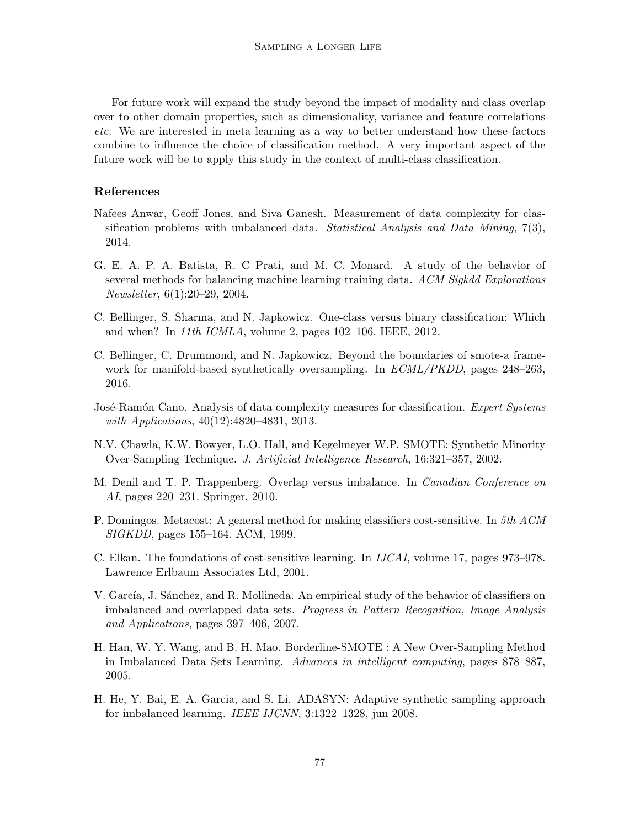For future work will expand the study beyond the impact of modality and class overlap over to other domain properties, such as dimensionality, variance and feature correlations etc. We are interested in meta learning as a way to better understand how these factors combine to influence the choice of classification method. A very important aspect of the future work will be to apply this study in the context of multi-class classification.

### References

- <span id="page-13-11"></span>Nafees Anwar, Geoff Jones, and Siva Ganesh. Measurement of data complexity for classification problems with unbalanced data. Statistical Analysis and Data Mining, 7(3), 2014.
- <span id="page-13-6"></span>G. E. A. P. A. Batista, R. C Prati, and M. C. Monard. A study of the behavior of several methods for balancing machine learning training data. ACM Sigkdd Explorations Newsletter, 6(1):20–29, 2004.
- <span id="page-13-9"></span>C. Bellinger, S. Sharma, and N. Japkowicz. One-class versus binary classification: Which and when? In 11th ICMLA, volume 2, pages 102–106. IEEE, 2012.
- <span id="page-13-4"></span>C. Bellinger, C. Drummond, and N. Japkowicz. Beyond the boundaries of smote-a framework for manifold-based synthetically oversampling. In *ECML/PKDD*, pages 248–263, 2016.
- <span id="page-13-10"></span>José-Ramón Cano. Analysis of data complexity measures for classification. Expert Systems with Applications, 40(12):4820-4831, 2013.
- <span id="page-13-0"></span>N.V. Chawla, K.W. Bowyer, L.O. Hall, and Kegelmeyer W.P. SMOTE: Synthetic Minority Over-Sampling Technique. J. Artificial Intelligence Research, 16:321–357, 2002.
- <span id="page-13-8"></span>M. Denil and T. P. Trappenberg. Overlap versus imbalance. In *Canadian Conference on* AI, pages 220–231. Springer, 2010.
- <span id="page-13-5"></span>P. Domingos. Metacost: A general method for making classifiers cost-sensitive. In 5th ACM SIGKDD, pages 155–164. ACM, 1999.
- <span id="page-13-2"></span>C. Elkan. The foundations of cost-sensitive learning. In IJCAI, volume 17, pages 973–978. Lawrence Erlbaum Associates Ltd, 2001.
- <span id="page-13-7"></span>V. García, J. Sánchez, and R. Mollineda. An empirical study of the behavior of classifiers on imbalanced and overlapped data sets. Progress in Pattern Recognition, Image Analysis and Applications, pages 397–406, 2007.
- <span id="page-13-1"></span>H. Han, W. Y. Wang, and B. H. Mao. Borderline-SMOTE : A New Over-Sampling Method in Imbalanced Data Sets Learning. Advances in intelligent computing, pages 878–887, 2005.
- <span id="page-13-3"></span>H. He, Y. Bai, E. A. Garcia, and S. Li. ADASYN: Adaptive synthetic sampling approach for imbalanced learning. IEEE IJCNN, 3:1322–1328, jun 2008.